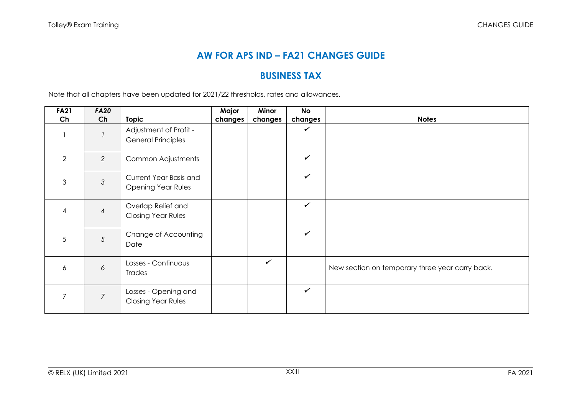## **AW FOR APS IND – FA21 CHANGES GUIDE**

## **BUSINESS TAX**

Note that all chapters have been updated for 2021/22 thresholds, rates and allowances.

| <b>FA21</b>    | <b>FA20</b>    |                                                     | Major   | Minor        | No           |                                                 |
|----------------|----------------|-----------------------------------------------------|---------|--------------|--------------|-------------------------------------------------|
| Ch             | Ch             | <b>Topic</b>                                        | changes | changes      | changes      | <b>Notes</b>                                    |
|                |                | Adjustment of Profit -<br><b>General Principles</b> |         |              | $\checkmark$ |                                                 |
| 2              | 2              | Common Adjustments                                  |         |              | $\checkmark$ |                                                 |
| 3              | $\mathfrak{Z}$ | Current Year Basis and<br><b>Opening Year Rules</b> |         |              | $\checkmark$ |                                                 |
| 4              | 4              | Overlap Relief and<br><b>Closing Year Rules</b>     |         |              | $\checkmark$ |                                                 |
| 5              | $\sqrt{5}$     | Change of Accounting<br>Date                        |         |              | $\checkmark$ |                                                 |
| 6              | 6              | Losses - Continuous<br>Trades                       |         | $\checkmark$ |              | New section on temporary three year carry back. |
| $\overline{7}$ | $\overline{7}$ | Losses - Opening and<br><b>Closing Year Rules</b>   |         |              | ✓            |                                                 |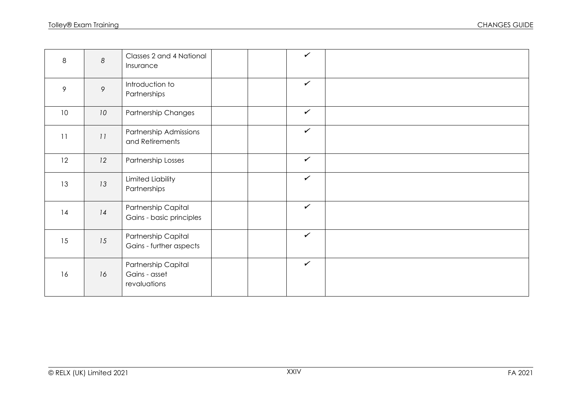| 8  | $\boldsymbol{8}$ | Classes 2 and 4 National<br>Insurance                |  | $\checkmark$ |  |
|----|------------------|------------------------------------------------------|--|--------------|--|
| 9  | $\circ$          | Introduction to<br>Partnerships                      |  | $\checkmark$ |  |
| 10 | 10               | Partnership Changes                                  |  | $\checkmark$ |  |
| 11 | 11               | Partnership Admissions<br>and Retirements            |  | $\checkmark$ |  |
| 12 | 12               | Partnership Losses                                   |  | $\checkmark$ |  |
| 13 | 13               | Limited Liability<br>Partnerships                    |  | $\checkmark$ |  |
| 14 | 14               | Partnership Capital<br>Gains - basic principles      |  | $\checkmark$ |  |
| 15 | 15               | Partnership Capital<br>Gains - further aspects       |  | $\checkmark$ |  |
| 16 | 16               | Partnership Capital<br>Gains - asset<br>revaluations |  | $\checkmark$ |  |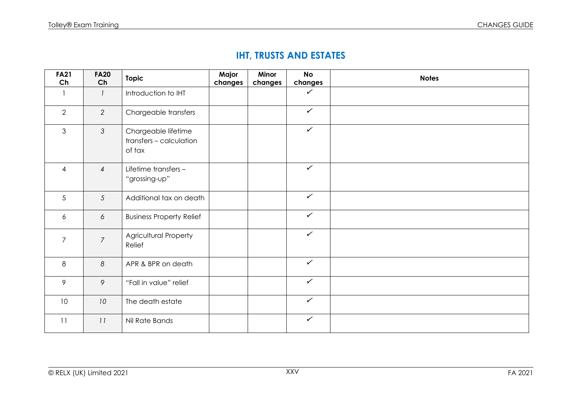# **IHT, TRUSTS AND ESTATES**

| <b>FA21</b><br>Ch | <b>FA20</b><br>Ch | <b>Topic</b>                                             | Major<br>changes | Minor<br>changes | <b>No</b><br>changes | <b>Notes</b> |
|-------------------|-------------------|----------------------------------------------------------|------------------|------------------|----------------------|--------------|
|                   | $\mathcal{I}$     | Introduction to IHT                                      |                  |                  | $\checkmark$         |              |
| 2                 | 2                 | Chargeable transfers                                     |                  |                  | $\checkmark$         |              |
| $\mathfrak{S}$    | $\mathcal{S}$     | Chargeable lifetime<br>transfers - calculation<br>of tax |                  |                  | $\checkmark$         |              |
| $\overline{4}$    | $\overline{4}$    | Lifetime transfers -<br>"grossing-up"                    |                  |                  | $\checkmark$         |              |
| $5\overline{)}$   | $\overline{5}$    | Additional tax on death                                  |                  |                  | $\checkmark$         |              |
| 6                 | 6                 | <b>Business Property Relief</b>                          |                  |                  | $\checkmark$         |              |
| $\overline{7}$    | $\overline{7}$    | <b>Agricultural Property</b><br>Relief                   |                  |                  | $\checkmark$         |              |
| 8                 | $\boldsymbol{8}$  | APR & BPR on death                                       |                  |                  | $\checkmark$         |              |
| $\mathcal{P}$     | 9                 | "Fall in value" relief                                   |                  |                  | $\checkmark$         |              |
| 10 <sup>°</sup>   | 10 <sup>°</sup>   | The death estate                                         |                  |                  | $\checkmark$         |              |
| 11                | 11                | Nil Rate Bands                                           |                  |                  | $\checkmark$         |              |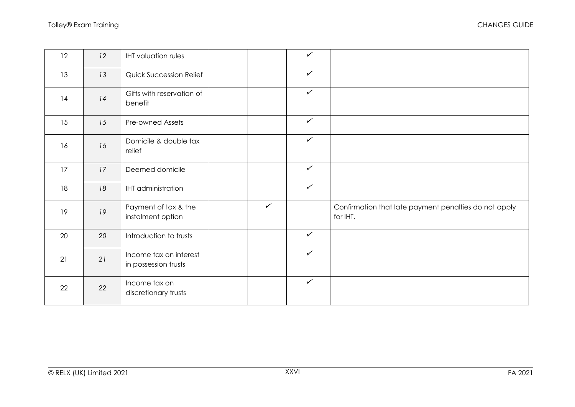| 12 | 12 | <b>IHT</b> valuation rules                     |              | $\checkmark$ |                                                                   |
|----|----|------------------------------------------------|--------------|--------------|-------------------------------------------------------------------|
| 13 | 13 | <b>Quick Succession Relief</b>                 |              | $\checkmark$ |                                                                   |
| 14 | 14 | Gifts with reservation of<br>benefit           |              | $\checkmark$ |                                                                   |
| 15 | 15 | Pre-owned Assets                               |              | $\checkmark$ |                                                                   |
| 16 | 16 | Domicile & double tax<br>relief                |              | $\checkmark$ |                                                                   |
| 17 | 17 | Deemed domicile                                |              | $\checkmark$ |                                                                   |
| 18 | 18 | <b>IHT</b> administration                      |              | $\checkmark$ |                                                                   |
| 19 | 19 | Payment of tax & the<br>instalment option      | $\checkmark$ |              | Confirmation that late payment penalties do not apply<br>for IHT. |
| 20 | 20 | Introduction to trusts                         |              | $\checkmark$ |                                                                   |
| 21 | 21 | Income tax on interest<br>in possession trusts |              | $\checkmark$ |                                                                   |
| 22 | 22 | Income tax on<br>discretionary trusts          |              | $\checkmark$ |                                                                   |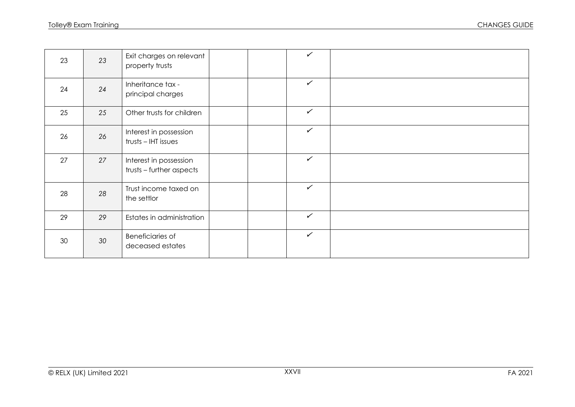| 23 | 23 | Exit charges on relevant<br>property trusts        |  | $\checkmark$ |  |
|----|----|----------------------------------------------------|--|--------------|--|
| 24 | 24 | Inheritance tax -<br>principal charges             |  | $\checkmark$ |  |
| 25 | 25 | Other trusts for children                          |  | $\checkmark$ |  |
| 26 | 26 | Interest in possession<br>trusts - IHT issues      |  | $\checkmark$ |  |
| 27 | 27 | Interest in possession<br>trusts - further aspects |  | $\checkmark$ |  |
| 28 | 28 | Trust income taxed on<br>the settlor               |  | $\checkmark$ |  |
| 29 | 29 | Estates in administration                          |  | $\checkmark$ |  |
| 30 | 30 | Beneficiaries of<br>deceased estates               |  | $\checkmark$ |  |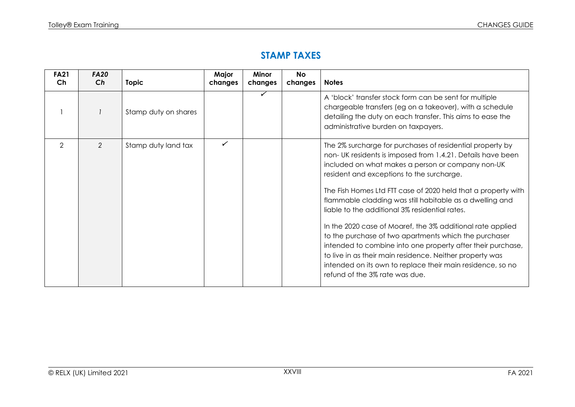#### **STAMP TAXES**

| <b>FA21</b><br>Ch | <b>FA20</b><br>Ch | <b>Topic</b>         | Major<br>changes | Minor<br>changes | <b>No</b><br>changes | <b>Notes</b>                                                                                                                                                                                                                                                                                                                                                                                                                                                                                                                                                                                                                                                                                                                                               |
|-------------------|-------------------|----------------------|------------------|------------------|----------------------|------------------------------------------------------------------------------------------------------------------------------------------------------------------------------------------------------------------------------------------------------------------------------------------------------------------------------------------------------------------------------------------------------------------------------------------------------------------------------------------------------------------------------------------------------------------------------------------------------------------------------------------------------------------------------------------------------------------------------------------------------------|
|                   |                   | Stamp duty on shares |                  | ✓                |                      | A 'block' transfer stock form can be sent for multiple<br>chargeable transfers (eg on a takeover), with a schedule<br>detailing the duty on each transfer. This aims to ease the<br>administrative burden on taxpayers.                                                                                                                                                                                                                                                                                                                                                                                                                                                                                                                                    |
| $\mathcal{P}$     | 2                 | Stamp duty land tax  | ✓                |                  |                      | The 2% surcharge for purchases of residential property by<br>non-UK residents is imposed from 1.4.21. Details have been<br>included on what makes a person or company non-UK<br>resident and exceptions to the surcharge.<br>The Fish Homes Ltd FTT case of 2020 held that a property with<br>flammable cladding was still habitable as a dwelling and<br>liable to the additional 3% residential rates.<br>In the 2020 case of Moaref, the 3% additional rate applied<br>to the purchase of two apartments which the purchaser<br>intended to combine into one property after their purchase,<br>to live in as their main residence. Neither property was<br>intended on its own to replace their main residence, so no<br>refund of the 3% rate was due. |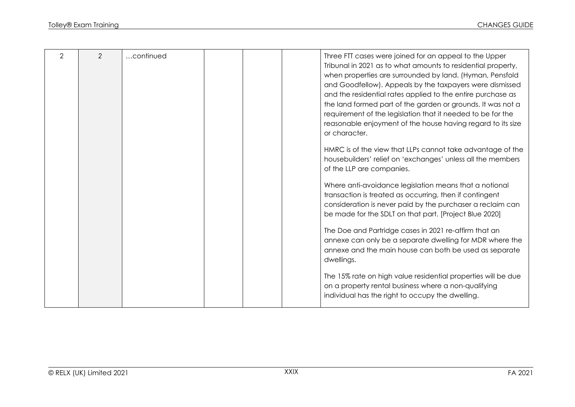| 2 | 2 | continued | Three FTT cases were joined for an appeal to the Upper        |
|---|---|-----------|---------------------------------------------------------------|
|   |   |           | Tribunal in 2021 as to what amounts to residential property,  |
|   |   |           | when properties are surrounded by land. (Hyman, Pensfold      |
|   |   |           | and Goodfellow). Appeals by the taxpayers were dismissed      |
|   |   |           | and the residential rates applied to the entire purchase as   |
|   |   |           | the land formed part of the garden or grounds. It was not a   |
|   |   |           | requirement of the legislation that it needed to be for the   |
|   |   |           | reasonable enjoyment of the house having regard to its size   |
|   |   |           | or character.                                                 |
|   |   |           |                                                               |
|   |   |           | HMRC is of the view that LLPs cannot take advantage of the    |
|   |   |           | housebuilders' relief on 'exchanges' unless all the members   |
|   |   |           | of the LLP are companies.                                     |
|   |   |           |                                                               |
|   |   |           | Where anti-avoidance legislation means that a notional        |
|   |   |           | transaction is treated as occurring, then if contingent       |
|   |   |           | consideration is never paid by the purchaser a reclaim can    |
|   |   |           | be made for the SDLT on that part. [Project Blue 2020]        |
|   |   |           |                                                               |
|   |   |           | The Doe and Partridge cases in 2021 re-affirm that an         |
|   |   |           | annexe can only be a separate dwelling for MDR where the      |
|   |   |           | annexe and the main house can both be used as separate        |
|   |   |           | dwellings.                                                    |
|   |   |           |                                                               |
|   |   |           | The 15% rate on high value residential properties will be due |
|   |   |           | on a property rental business where a non-qualifying          |
|   |   |           | individual has the right to occupy the dwelling.              |
|   |   |           |                                                               |